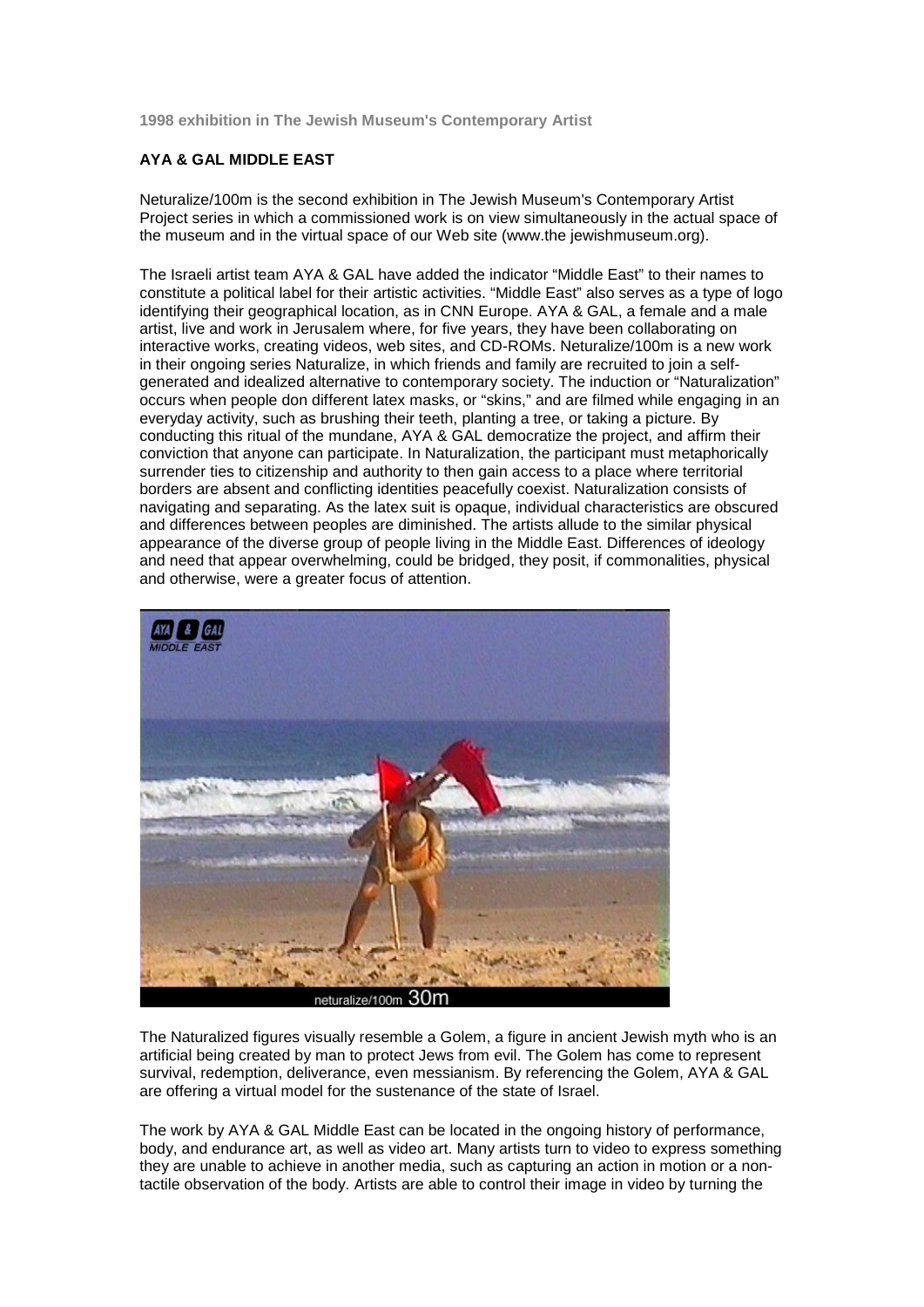**1998 exhibition in The Jewish Museum's Contemporary Artist**

## **AYA & GAL MIDDLE EAST**

Neturalize/100m is the second exhibition in The Jewish Museum's Contemporary Artist Project series in which a commissioned work is on view simultaneously in the actual space of the museum and in the virtual space of our Web site (www.the jewishmuseum.org).

The Israeli artist team AYA & GAL have added the indicator "Middle East" to their names to constitute a political label for their artistic activities. "Middle East" also serves as a type of logo identifying their geographical location, as in CNN Europe. AYA & GAL, a female and a male artist, live and work in Jerusalem where, for five years, they have been collaborating on interactive works, creating videos, web sites, and CD-ROMs. Neturalize/100m is a new work in their ongoing series Naturalize, in which friends and family are recruited to join a selfgenerated and idealized alternative to contemporary society. The induction or "Naturalization" occurs when people don different latex masks, or "skins," and are filmed while engaging in an everyday activity, such as brushing their teeth, planting a tree, or taking a picture. By conducting this ritual of the mundane, AYA & GAL democratize the project, and affirm their conviction that anyone can participate. In Naturalization, the participant must metaphorically surrender ties to citizenship and authority to then gain access to a place where territorial borders are absent and conflicting identities peacefully coexist. Naturalization consists of navigating and separating. As the latex suit is opaque, individual characteristics are obscured and differences between peoples are diminished. The artists allude to the similar physical appearance of the diverse group of people living in the Middle East. Differences of ideology and need that appear overwhelming, could be bridged, they posit, if commonalities, physical and otherwise, were a greater focus of attention.



The Naturalized figures visually resemble a Golem, a figure in ancient Jewish myth who is an artificial being created by man to protect Jews from evil. The Golem has come to represent survival, redemption, deliverance, even messianism. By referencing the Golem, AYA & GAL are offering a virtual model for the sustenance of the state of Israel.

The work by AYA & GAL Middle East can be located in the ongoing history of performance, body, and endurance art, as well as video art. Many artists turn to video to express something they are unable to achieve in another media, such as capturing an action in motion or a nontactile observation of the body. Artists are able to control their image in video by turning the